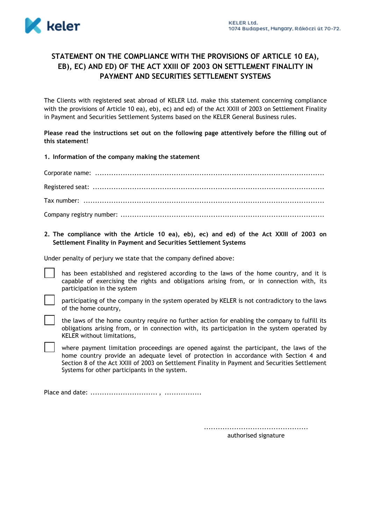

## **STATEMENT ON THE COMPLIANCE WITH THE PROVISIONS OF ARTICLE 10 EA), EB), EC) AND ED) OF THE ACT XXIII OF 2003 ON SETTLEMENT FINALITY IN PAYMENT AND SECURITIES SETTLEMENT SYSTEMS**

The Clients with registered seat abroad of KELER Ltd. make this statement concerning compliance with the provisions of Article 10 ea), eb), ec) and ed) of the Act XXIII of 2003 on Settlement Finality in Payment and Securities Settlement Systems based on the KELER General Business rules.

**Please read the instructions set out on the following page attentively before the filling out of this statement!**

**1. Information of the company making the statement**

Corporate name: ................................................................................................... Registered seat: .................................................................................................... Tax number: ........................................................................................................ Company registry number: ........................................................................................

**2. The compliance with the Article 10 ea), eb), ec) and ed) of the Act XXIII of 2003 on Settlement Finality in Payment and Securities Settlement Systems**

Under penalty of perjury we state that the company defined above:

has been established and registered according to the laws of the home country, and it is capable of exercising the rights and obligations arising from, or in connection with, its participation in the system

participating of the company in the system operated by KELER is not contradictory to the laws of the home country,

the laws of the home country require no further action for enabling the company to fulfill its obligations arising from, or in connection with, its participation in the system operated by KELER without limitations,

where payment limitation proceedings are opened against the participant, the laws of the home country provide an adequate level of protection in accordance with Section 4 and Section 8 of the Act XXIII of 2003 on Settlement Finality in Payment and Securities Settlement Systems for other participants in the system.

Place and date: ............................. , ................

............................................. authorised signature